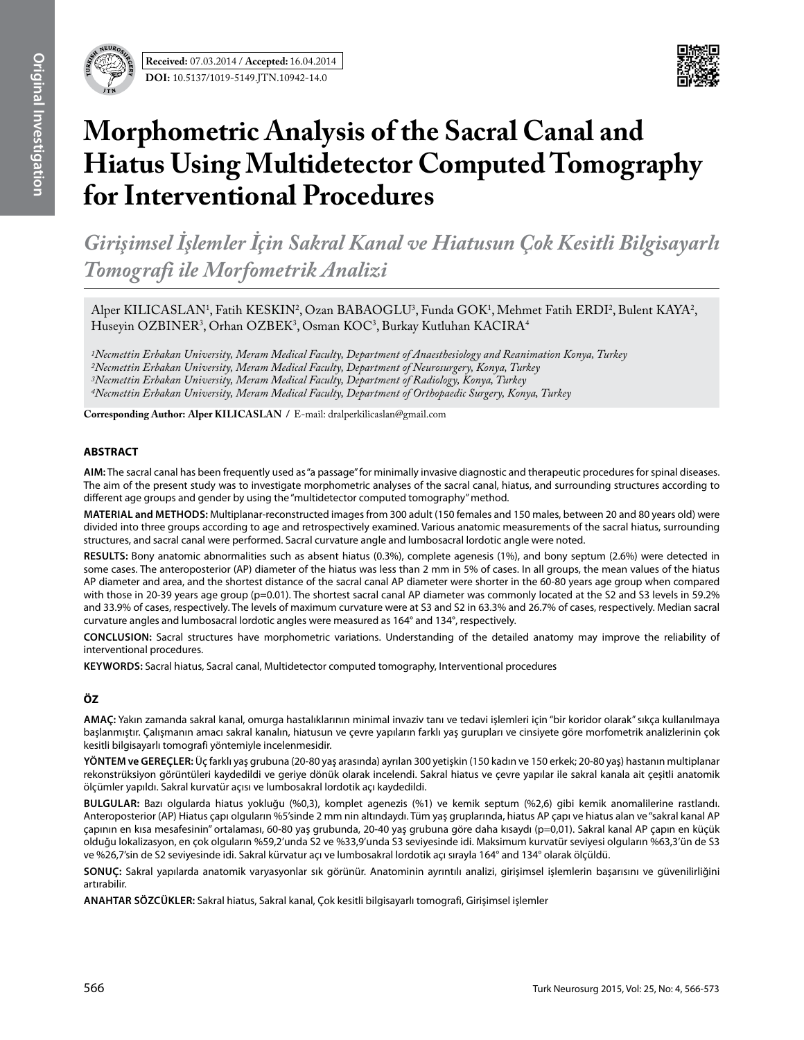



# **Morphometric Analysis of the Sacral Canal and Hiatus Using Multidetector Computed Tomography for Interventional Procedures**

*Girişimsel İşlemler İçin Sakral Kanal ve Hiatusun Çok Kesitli Bilgisayarlı Tomografi ile Morfometrik Analizi*

Alper KILICASLAN<sup>1</sup>, Fatih KESKIN<sup>2</sup>, Ozan BABAOGLU<sup>3</sup>, Funda GOK<sup>1</sup>, Mehmet Fatih ERDI<sup>2</sup>, Bulent KAYA<sup>2</sup>, Huseyin OZBINER<sup>3</sup>, Orhan OZBEK<sup>3</sup>, Osman KOC<sup>3</sup>, Burkay Kutluhan KACIRA<sup>4</sup>

*1Necmettin Erbakan University, Meram Medical Faculty, Department of Anaesthesiology and Reanimation Konya, Turkey 2Necmettin Erbakan University, Meram Medical Faculty, Department of Neurosurgery, Konya, Turkey 3Necmettin Erbakan University, Meram Medical Faculty, Department of Radiology, Konya, Turkey 4Necmettin Erbakan University, Meram Medical Faculty, Department of Orthopaedic Surgery, Konya, Turkey*

**Corresponding Author: Alper Kılıcaslan /** E-mail: dralperkilicaslan@gmail.com

#### **ABSTRACT**

**AIm:** The sacral canal has been frequently used as "a passage" for minimally invasive diagnostic and therapeutic procedures for spinal diseases. The aim of the present study was to investigate morphometric analyses of the sacral canal, hiatus, and surrounding structures according to different age groups and gender by using the "multidetector computed tomography" method.

**MaterIal and Methods:** Multiplanar-reconstructed images from 300 adult (150 females and 150 males, between 20 and 80 years old) were divided into three groups according to age and retrospectively examined. Various anatomic measurements of the sacral hiatus, surrounding structures, and sacral canal were performed. Sacral curvature angle and lumbosacral lordotic angle were noted.

**Results:** Bony anatomic abnormalities such as absent hiatus (0.3%), complete agenesis (1%), and bony septum (2.6%) were detected in some cases. The anteroposterior (AP) diameter of the hiatus was less than 2 mm in 5% of cases. In all groups, the mean values of the hiatus AP diameter and area, and the shortest distance of the sacral canal AP diameter were shorter in the 60-80 years age group when compared with those in 20-39 years age group (p=0.01). The shortest sacral canal AP diameter was commonly located at the S2 and S3 levels in 59.2% and 33.9% of cases, respectively. The levels of maximum curvature were at S3 and S2 in 63.3% and 26.7% of cases, respectively. Median sacral curvature angles and lumbosacral lordotic angles were measured as 164° and 134°, respectively.

**ConclusIon:** Sacral structures have morphometric variations. Understanding of the detailed anatomy may improve the reliability of interventional procedures.

**Keywords:** Sacral hiatus, Sacral canal, Multidetector computed tomography, Interventional procedures

## **ÖZ**

**AMAÇ:** Yakın zamanda sakral kanal, omurga hastalıklarının minimal invaziv tanı ve tedavi işlemleri için "bir koridor olarak" sıkça kullanılmaya başlanmıştır. Çalışmanın amacı sakral kanalın, hiatusun ve çevre yapıların farklı yaş gurupları ve cinsiyete göre morfometrik analizlerinin çok kesitli bilgisayarlı tomografi yöntemiyle incelenmesidir.

**YÖNTEM ve GEREÇLER:** Üç farklı yaş grubuna (20-80 yaş arasında) ayrılan 300 yetişkin (150 kadın ve 150 erkek; 20-80 yaş) hastanın multiplanar rekonstrüksiyon görüntüleri kaydedildi ve geriye dönük olarak incelendi. Sakral hiatus ve çevre yapılar ile sakral kanala ait çeşitli anatomik ölçümler yapıldı. Sakral kurvatür açısı ve lumbosakral lordotik açı kaydedildi.

**BULGULAR:** Bazı olgularda hiatus yokluğu (%0,3), komplet agenezis (%1) ve kemik septum (%2,6) gibi kemik anomalilerine rastlandı. Anteroposterior (AP) Hiatus çapı olguların %5'sinde 2 mm nin altındaydı. Tüm yaş gruplarında, hiatus AP çapı ve hiatus alan ve "sakral kanal AP çapının en kısa mesafesinin" ortalaması, 60-80 yaş grubunda, 20-40 yaş grubuna göre daha kısaydı (p=0,01). Sakral kanal AP çapın en küçük olduğu lokalizasyon, en çok olguların %59,2'unda S2 ve %33,9'unda S3 seviyesinde idi. Maksimum kurvatür seviyesi olguların %63,3'ün de S3 ve %26,7'sin de S2 seviyesinde idi. Sakral kürvatur açı ve lumbosakral lordotik açı sırayla 164° and 134° olarak ölçüldü.

**SONUÇ:** Sakral yapılarda anatomik varyasyonlar sık görünür. Anatominin ayrıntılı analizi, girişimsel işlemlerin başarısını ve güvenilirliğini artırabilir.

**ANAHTAR SÖZCÜKLER:** Sakral hiatus, Sakral kanal, Çok kesitli bilgisayarlı tomografi, Girişimsel işlemler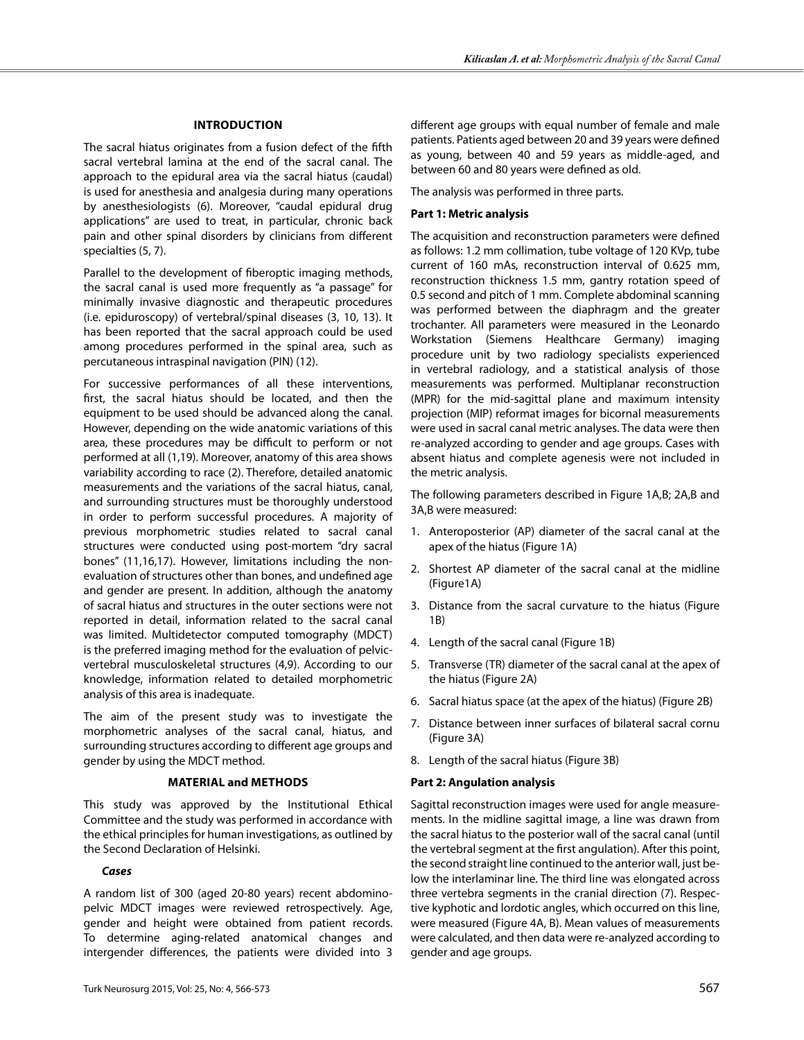## **Introduction**

The sacral hiatus originates from a fusion defect of the fifth sacral vertebral lamina at the end of the sacral canal. The approach to the epidural area via the sacral hiatus (caudal) is used for anesthesia and analgesia during many operations by anesthesiologists (6). Moreover, "caudal epidural drug applications" are used to treat, in particular, chronic back pain and other spinal disorders by clinicians from different specialties (5, 7).

Parallel to the development of fiberoptic imaging methods, the sacral canal is used more frequently as "a passage" for minimally invasive diagnostic and therapeutic procedures (i.e. epiduroscopy) of vertebral/spinal diseases (3, 10, 13). It has been reported that the sacral approach could be used among procedures performed in the spinal area, such as percutaneous intraspinal navigation (PIN) (12).

For successive performances of all these interventions, first, the sacral hiatus should be located, and then the equipment to be used should be advanced along the canal. However, depending on the wide anatomic variations of this area, these procedures may be difficult to perform or not performed at all (1,19). Moreover, anatomy of this area shows variability according to race (2). Therefore, detailed anatomic measurements and the variations of the sacral hiatus, canal, and surrounding structures must be thoroughly understood in order to perform successful procedures. A majority of previous morphometric studies related to sacral canal structures were conducted using post-mortem "dry sacral bones" (11,16,17). However, limitations including the nonevaluation of structures other than bones, and undefined age and gender are present. In addition, although the anatomy of sacral hiatus and structures in the outer sections were not reported in detail, information related to the sacral canal was limited. Multidetector computed tomography (MDCT) is the preferred imaging method for the evaluation of pelvicvertebral musculoskeletal structures (4,9). According to our knowledge, information related to detailed morphometric analysis of this area is inadequate.

The aim of the present study was to investigate the morphometric analyses of the sacral canal, hiatus, and surrounding structures according to different age groups and gender by using the MDCT method.

## **Material and Methods**

This study was approved by the Institutional Ethical Committee and the study was performed in accordance with the ethical principles for human investigations, as outlined by the Second Declaration of Helsinki.

## *Cases*

A random list of 300 (aged 20-80 years) recent abdominopelvic MDCT images were reviewed retrospectively. Age, gender and height were obtained from patient records. To determine aging-related anatomical changes and intergender differences, the patients were divided into 3

different age groups with equal number of female and male patients. Patients aged between 20 and 39 years were defined as young, between 40 and 59 years as middle-aged, and between 60 and 80 years were defined as old.

The analysis was performed in three parts.

# **Part 1: Metric analysis**

The acquisition and reconstruction parameters were defined as follows: 1.2 mm collimation, tube voltage of 120 KVp, tube current of 160 mAs, reconstruction interval of 0.625 mm, reconstruction thickness 1.5 mm, gantry rotation speed of 0.5 second and pitch of 1 mm. Complete abdominal scanning was performed between the diaphragm and the greater trochanter. All parameters were measured in the Leonardo Workstation (Siemens Healthcare Germany) imaging procedure unit by two radiology specialists experienced in vertebral radiology, and a statistical analysis of those measurements was performed. Multiplanar reconstruction (MPR) for the mid-sagittal plane and maximum intensity projection (MIP) reformat images for bicornal measurements were used in sacral canal metric analyses. The data were then re-analyzed according to gender and age groups. Cases with absent hiatus and complete agenesis were not included in the metric analysis.

The following parameters described in Figure 1A,B; 2A,B and 3A,B were measured:

- 1. Anteroposterior (AP) diameter of the sacral canal at the apex of the hiatus (Figure 1A)
- 2. Shortest AP diameter of the sacral canal at the midline (Figure1A)
- 3. Distance from the sacral curvature to the hiatus (Figure 1B)
- 4. Length of the sacral canal (Figure 1B)
- 5. Transverse (TR) diameter of the sacral canal at the apex of the hiatus (Figure 2A)
- 6. Sacral hiatus space (at the apex of the hiatus) (Figure 2B)
- 7. Distance between inner surfaces of bilateral sacral cornu (Figure 3A)
- 8. Length of the sacral hiatus (Figure 3B)

# **Part 2: Angulation analysis**

Sagittal reconstruction images were used for angle measurements. In the midline sagittal image, a line was drawn from the sacral hiatus to the posterior wall of the sacral canal (until the vertebral segment at the first angulation). After this point, the second straight line continued to the anterior wall, just below the interlaminar line. The third line was elongated across three vertebra segments in the cranial direction (7). Respective kyphotic and lordotic angles, which occurred on this line, were measured (Figure 4A, B). Mean values of measurements were calculated, and then data were re-analyzed according to gender and age groups.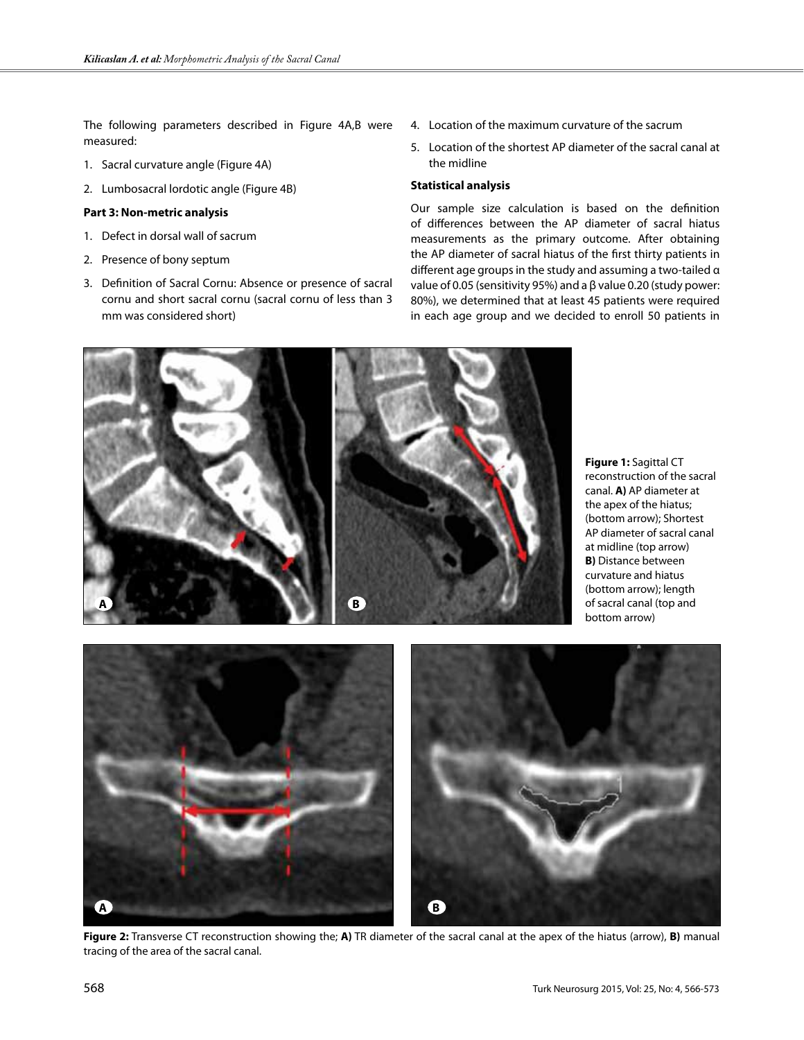The following parameters described in Figure 4A,B were measured:

- 1. Sacral curvature angle (Figure 4A)
- 2. Lumbosacral lordotic angle (Figure 4B)

#### **Part 3: Non-metric analysis**

- 1. Defect in dorsal wall of sacrum
- 2. Presence of bony septum
- 3. Definition of Sacral Cornu: Absence or presence of sacral cornu and short sacral cornu (sacral cornu of less than 3 mm was considered short)
- 4. Location of the maximum curvature of the sacrum
- 5. Location of the shortest AP diameter of the sacral canal at the midline

## **Statistical analysis**

Our sample size calculation is based on the definition of differences between the AP diameter of sacral hiatus measurements as the primary outcome. After obtaining the AP diameter of sacral hiatus of the first thirty patients in different age groups in the study and assuming a two-tailed α value of 0.05 (sensitivity 95%) and a β value 0.20 (study power: 80%), we determined that at least 45 patients were required in each age group and we decided to enroll 50 patients in



**Figure 1:** Sagittal CT reconstruction of the sacral canal. **A)** AP diameter at the apex of the hiatus; (bottom arrow); Shortest AP diameter of sacral canal at midline (top arrow) **B)** Distance between curvature and hiatus (bottom arrow); length of sacral canal (top and bottom arrow)



**Figure 2:** Transverse CT reconstruction showing the; **A)** TR diameter of the sacral canal at the apex of the hiatus (arrow), **B)** manual tracing of the area of the sacral canal.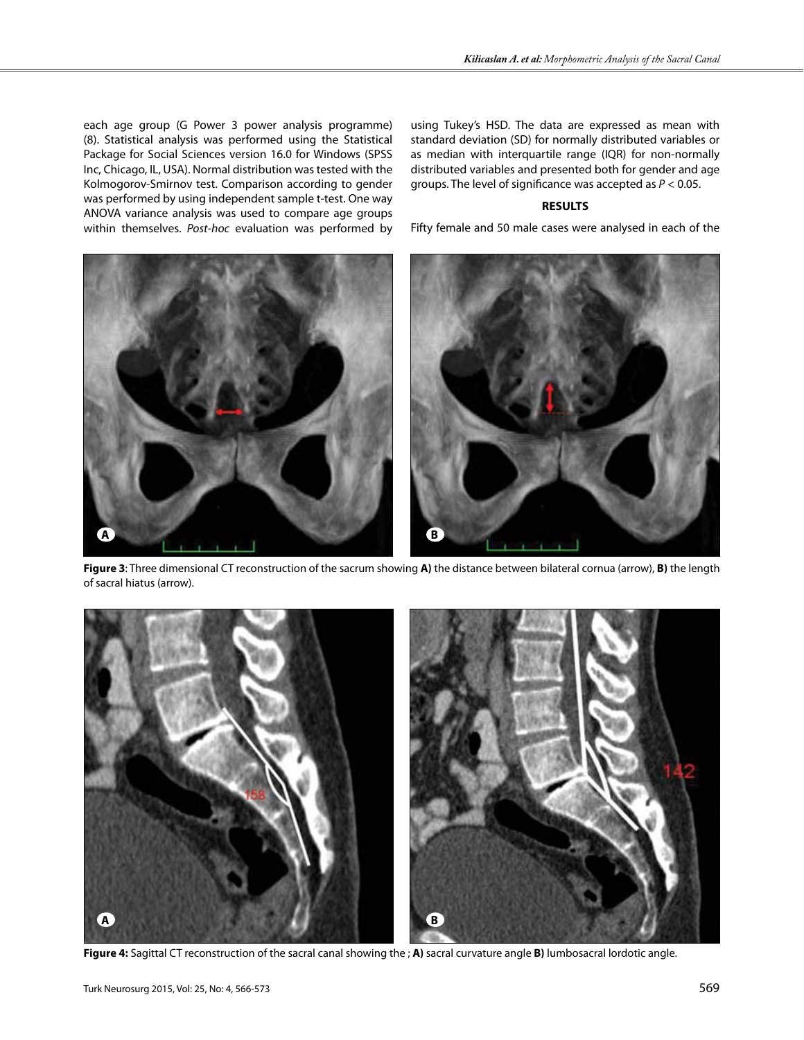each age group (G Power 3 power analysis programme) (8). Statistical analysis was performed using the Statistical Package for Social Sciences version 16.0 for Windows (SPSS Inc, Chicago, IL, USA). Normal distribution was tested with the Kolmogorov-Smirnov test. Comparison according to gender was performed by using independent sample t-test. One way ANOVA variance analysis was used to compare age groups within themselves. *Post-hoc* evaluation was performed by using Tukey's HSD. The data are expressed as mean with standard deviation (SD) for normally distributed variables or as median with interquartile range (IQR) for non-normally distributed variables and presented both for gender and age groups. The level of significance was accepted as *P* < 0.05.

#### **RESULTS**

Fifty female and 50 male cases were analysed in each of the



**Figure 3**: Three dimensional CT reconstruction of the sacrum showing **A)** the distance between bilateral cornua (arrow), **B)** the length of sacral hiatus (arrow).



**Figure 4:** Sagittal CT reconstruction of the sacral canal showing the ; **A)** sacral curvature angle **B)** lumbosacral lordotic angle.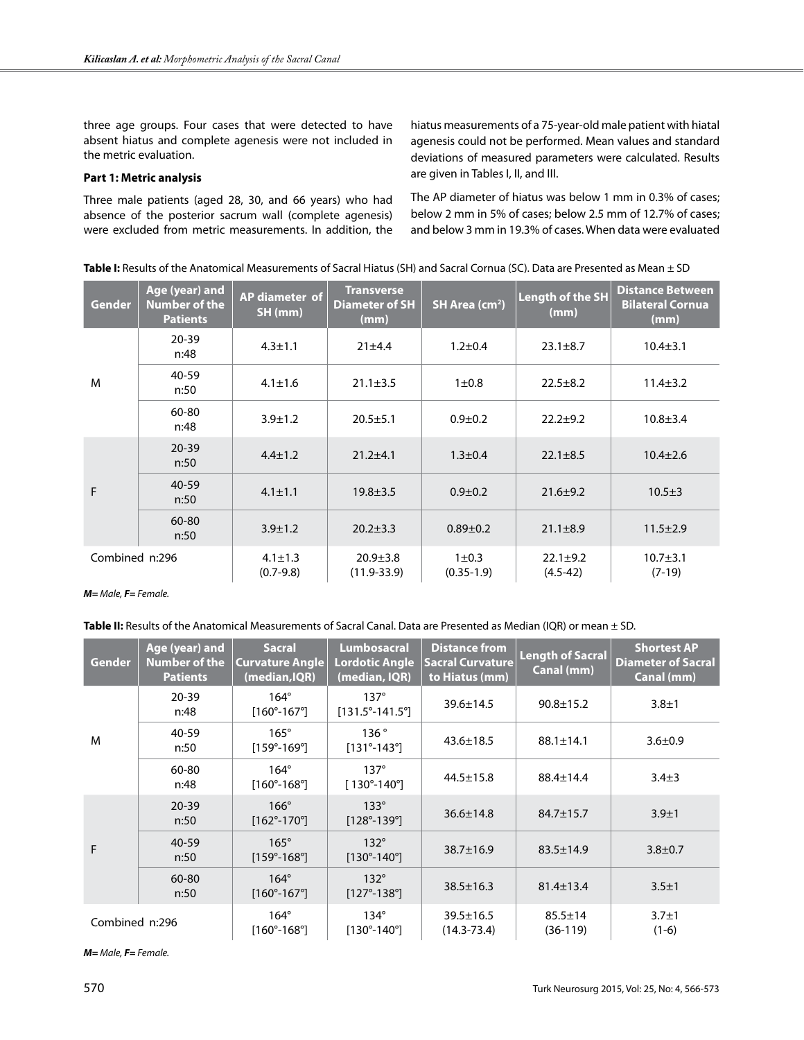three age groups. Four cases that were detected to have absent hiatus and complete agenesis were not included in the metric evaluation.

#### **Part 1: Metric analysis**

Three male patients (aged 28, 30, and 66 years) who had absence of the posterior sacrum wall (complete agenesis) were excluded from metric measurements. In addition, the hiatus measurements of a 75-year-old male patient with hiatal agenesis could not be performed. Mean values and standard deviations of measured parameters were calculated. Results are given in Tables I, II, and III.

The AP diameter of hiatus was below 1 mm in 0.3% of cases; below 2 mm in 5% of cases; below 2.5 mm of 12.7% of cases; and below 3 mm in 19.3% of cases. When data were evaluated

**Table I:** Results of the Anatomical Measurements of Sacral Hiatus (SH) and Sacral Cornua (SC). Data are Presented as Mean ± SD

| <b>Gender</b>  | Age (year) and<br>Number of the<br><b>Patients</b> | AP diameter of<br>SH (mm)      | <b>Transverse</b><br><b>Diameter of SH</b><br>(mm) | SH Area (cm <sup>2</sup> ) | Length of the SH<br>(mm)       | <b>Distance Between</b><br><b>Bilateral Cornua</b><br>(mm) |
|----------------|----------------------------------------------------|--------------------------------|----------------------------------------------------|----------------------------|--------------------------------|------------------------------------------------------------|
| M              | $20 - 39$<br>n:48                                  | $4.3 \pm 1.1$                  | 21±4.4                                             | $1.2 \pm 0.4$              | $23.1 \pm 8.7$                 | $10.4 \pm 3.1$                                             |
|                | 40-59<br>n:50                                      | $4.1 \pm 1.6$                  | $21.1 \pm 3.5$                                     | $1\pm0.8$                  | $22.5 \pm 8.2$                 | $11.4 \pm 3.2$                                             |
|                | 60-80<br>n:48                                      | $3.9 \pm 1.2$                  | $20.5 \pm 5.1$                                     | $0.9 + 0.2$                | $22.2 + 9.2$                   | $10.8 + 3.4$                                               |
| F              | $20 - 39$<br>n:50                                  | $4.4 \pm 1.2$                  | $21.2 \pm 4.1$                                     | $1.3 \pm 0.4$              | $22.1 \pm 8.5$                 | $10.4 \pm 2.6$                                             |
|                | 40-59<br>n:50                                      | $4.1 \pm 1.1$                  | $19.8 \pm 3.5$                                     | $0.9 + 0.2$                | $21.6 \pm 9.2$                 | $10.5 \pm 3$                                               |
|                | 60-80<br>n:50                                      | $3.9 \pm 1.2$                  | $20.2 \pm 3.3$                                     | $0.89 + 0.2$               | $21.1 \pm 8.9$                 | $11.5 \pm 2.9$                                             |
| Combined n:296 |                                                    | $4.1 \pm 1.3$<br>$(0.7 - 9.8)$ | $20.9 \pm 3.8$<br>$(11.9 - 33.9)$                  | $1\pm0.3$<br>$(0.35-1.9)$  | $22.1 \pm 9.2$<br>$(4.5 - 42)$ | $10.7 + 3.1$<br>$(7-19)$                                   |

*M= Male, F= Female.*

Table II: Results of the Anatomical Measurements of Sacral Canal. Data are Presented as Median (IQR) or mean ± SD.

| <b>Gender</b>  | Age (year) and<br>Number of the<br><b>Patients</b> | <b>Sacral</b><br><b>Curvature Angle</b><br>(median, IQR) | <b>Lumbosacral</b><br><b>Lordotic Angle</b><br>(median, IQR) | <b>Distance from</b><br><b>Sacral Curvature</b><br>to Hiatus (mm) | <b>Length of Sacral</b><br>Canal (mm) | <b>Shortest AP</b><br><b>Diameter of Sacral</b><br>Canal (mm) |
|----------------|----------------------------------------------------|----------------------------------------------------------|--------------------------------------------------------------|-------------------------------------------------------------------|---------------------------------------|---------------------------------------------------------------|
| M              | 20-39<br>n:48                                      | $164^\circ$<br>$[160^{\circ} - 167^{\circ}]$             | $137^\circ$<br>$[131.5^{\circ} - 141.5^{\circ}]$             | $39.6 \pm 14.5$                                                   | $90.8 \pm 15.2$                       | $3.8 + 1$                                                     |
|                | 40-59<br>n:50                                      | $165^\circ$<br>$[159^{\circ} - 169^{\circ}]$             | 136°<br>$[131^{\circ} - 143^{\circ}]$                        | $43.6 \pm 18.5$                                                   | $88.1 \pm 14.1$                       | $3.6 \pm 0.9$                                                 |
|                | 60-80<br>n:48                                      | $164^\circ$<br>$[160^{\circ} - 168^{\circ}]$             | $137^\circ$<br>$[130^{\circ} - 140^{\circ}]$                 | $44.5 \pm 15.8$                                                   | $88.4 \pm 14.4$                       | $3.4 + 3$                                                     |
| F              | $20 - 39$<br>n:50                                  | $166^\circ$<br>$[162^{\circ} - 170^{\circ}]$             | $133^\circ$<br>$[128°-139°]$                                 | $36.6 \pm 14.8$                                                   | $84.7 \pm 15.7$                       | $3.9 + 1$                                                     |
|                | 40-59<br>n:50                                      | $165^\circ$<br>$[159^{\circ} - 168^{\circ}]$             | $132^\circ$<br>$[130^{\circ} - 140^{\circ}]$                 | $38.7 \pm 16.9$                                                   | $83.5 \pm 14.9$                       | $3.8 \pm 0.7$                                                 |
|                | 60-80<br>n:50                                      | $164^\circ$<br>$[160^{\circ} - 167^{\circ}]$             | $132^\circ$<br>$[127^{\circ} - 138^{\circ}]$                 | $38.5 \pm 16.3$                                                   | $81.4 \pm 13.4$                       | $3.5 + 1$                                                     |
| Combined n:296 |                                                    | $164^\circ$<br>$[160^{\circ} - 168^{\circ}]$             | $134^\circ$<br>$[130^{\circ} - 140^{\circ}]$                 | $39.5 \pm 16.5$<br>$(14.3 - 73.4)$                                | $85.5 \pm 14$<br>$(36-119)$           | $3.7 \pm 1$<br>$(1-6)$                                        |

*M= Male, F= Female.*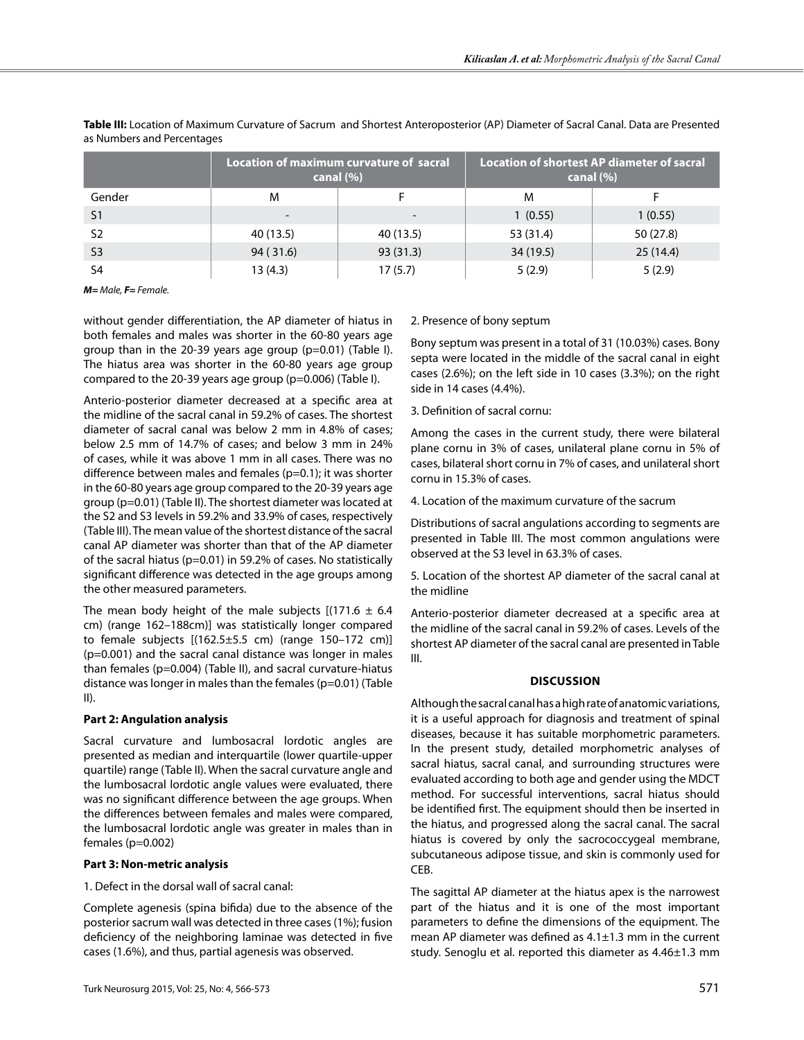|                |           | Location of maximum curvature of sacral<br>canal $(\% )$ | <b>Location of shortest AP diameter of sacral</b><br>canal $(\% )$ |           |  |
|----------------|-----------|----------------------------------------------------------|--------------------------------------------------------------------|-----------|--|
| Gender         | M         |                                                          | M                                                                  |           |  |
| S <sub>1</sub> |           |                                                          | 1(0.55)                                                            | 1(0.55)   |  |
| S <sub>2</sub> | 40 (13.5) | 40 (13.5)                                                | 53 (31.4)                                                          | 50 (27.8) |  |
| S <sub>3</sub> | 94 (31.6) | 93(31.3)                                                 | 34 (19.5)                                                          | 25(14.4)  |  |
| S <sub>4</sub> | 13 (4.3)  | 17(5.7)                                                  | 5(2.9)                                                             | 5(2.9)    |  |

**Table III:** Location of Maximum Curvature of Sacrum and Shortest Anteroposterior (Ap) Diameter of Sacral Canal. Data are Presented as Numbers and Percentages

*M= Male, F= Female.*

without gender differentiation, the AP diameter of hiatus in both females and males was shorter in the 60-80 years age group than in the 20-39 years age group (p=0.01) (Table I). The hiatus area was shorter in the 60-80 years age group compared to the 20-39 years age group (p=0.006) (Table I).

Anterio-posterior diameter decreased at a specific area at the midline of the sacral canal in 59.2% of cases. The shortest diameter of sacral canal was below 2 mm in 4.8% of cases; below 2.5 mm of 14.7% of cases; and below 3 mm in 24% of cases, while it was above 1 mm in all cases. There was no difference between males and females (p=0.1); it was shorter in the 60-80 years age group compared to the 20-39 years age group (p=0.01) (Table II). The shortest diameter was located at the S2 and S3 levels in 59.2% and 33.9% of cases, respectively (Table III). The mean value of the shortest distance of the sacral canal AP diameter was shorter than that of the AP diameter of the sacral hiatus (p=0.01) in 59.2% of cases. No statistically significant difference was detected in the age groups among the other measured parameters.

The mean body height of the male subjects  $[(171.6 \pm 6.4$ cm) (range 162–188cm)] was statistically longer compared to female subjects  $[(162.5 \pm 5.5 \text{ cm})$  (range 150-172 cm)] (p=0.001) and the sacral canal distance was longer in males than females (p=0.004) (Table II), and sacral curvature-hiatus distance was longer in males than the females (p=0.01) (Table II).

## **Part 2: Angulation analysis**

Sacral curvature and lumbosacral lordotic angles are presented as median and interquartile (lower quartile-upper quartile) range (Table II). When the sacral curvature angle and the lumbosacral lordotic angle values were evaluated, there was no significant difference between the age groups. When the differences between females and males were compared, the lumbosacral lordotic angle was greater in males than in females (p=0.002)

## **Part 3: Non-metric analysis**

1. Defect in the dorsal wall of sacral canal:

Complete agenesis (spina bifida) due to the absence of the posterior sacrum wall was detected in three cases (1%); fusion deficiency of the neighboring laminae was detected in five cases (1.6%), and thus, partial agenesis was observed.

#### 2. Presence of bony septum

Bony septum was present in a total of 31 (10.03%) cases. Bony septa were located in the middle of the sacral canal in eight cases (2.6%); on the left side in 10 cases (3.3%); on the right side in 14 cases (4.4%).

3*.* Definition of sacral cornu:

Among the cases in the current study, there were bilateral plane cornu in 3% of cases, unilateral plane cornu in 5% of cases, bilateral short cornu in 7% of cases, and unilateral short cornu in 15.3% of cases.

4. Location of the maximum curvature of the sacrum

Distributions of sacral angulations according to segments are presented in Table III. The most common angulations were observed at the S3 level in 63.3% of cases.

5*.* Location of the shortest AP diameter of the sacral canal at the midline

Anterio-posterior diameter decreased at a specific area at the midline of the sacral canal in 59.2% of cases. Levels of the shortest AP diameter of the sacral canal are presented in Table III.

## **Discussion**

Although the sacral canal has a high rate of anatomic variations, it is a useful approach for diagnosis and treatment of spinal diseases, because it has suitable morphometric parameters. In the present study, detailed morphometric analyses of sacral hiatus, sacral canal, and surrounding structures were evaluated according to both age and gender using the MDCT method. For successful interventions, sacral hiatus should be identified first. The equipment should then be inserted in the hiatus, and progressed along the sacral canal. The sacral hiatus is covered by only the sacrococcygeal membrane, subcutaneous adipose tissue, and skin is commonly used for CEB.

The sagittal AP diameter at the hiatus apex is the narrowest part of the hiatus and it is one of the most important parameters to define the dimensions of the equipment. The mean AP diameter was defined as  $4.1 \pm 1.3$  mm in the current study. Senoglu et al. reported this diameter as 4.46±1.3 mm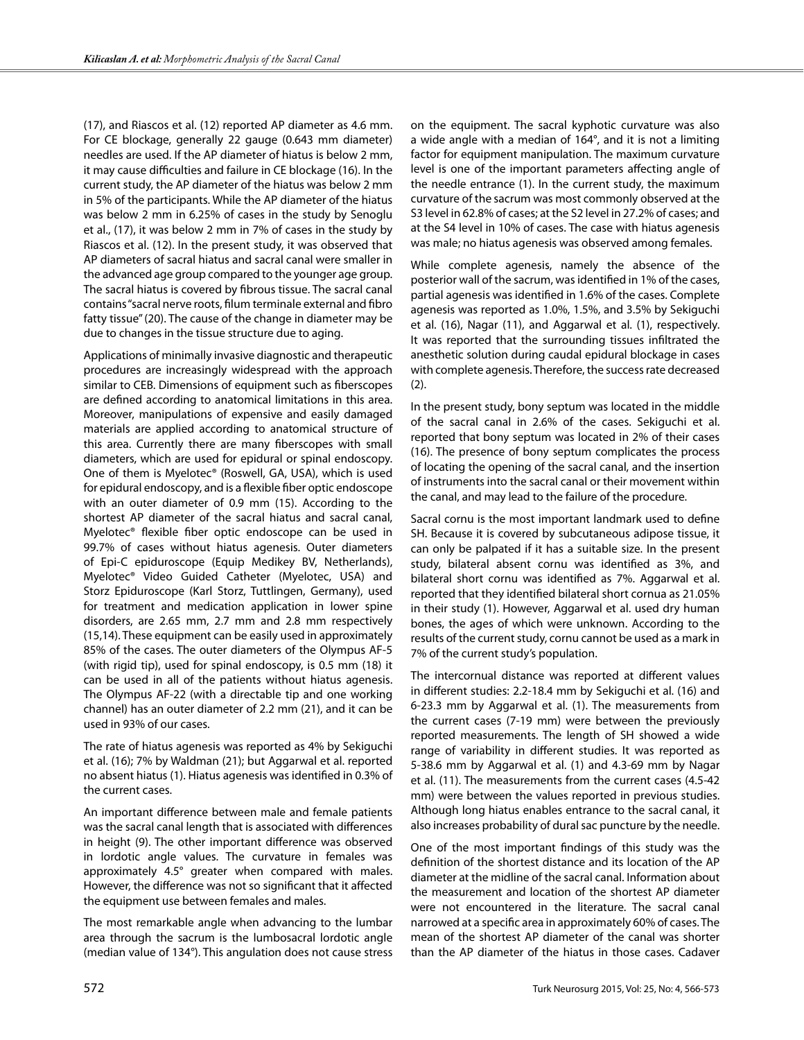(17), and Riascos et al. (12) reported AP diameter as 4.6 mm. For CE blockage, generally 22 gauge (0.643 mm diameter) needles are used. If the AP diameter of hiatus is below 2 mm, it may cause difficulties and failure in CE blockage (16). In the current study, the AP diameter of the hiatus was below 2 mm in 5% of the participants. While the AP diameter of the hiatus was below 2 mm in 6.25% of cases in the study by Senoglu et al., (17), it was below 2 mm in 7% of cases in the study by Riascos et al. (12). In the present study, it was observed that AP diameters of sacral hiatus and sacral canal were smaller in the advanced age group compared to the younger age group. The sacral hiatus is covered by fibrous tissue. The sacral canal contains "sacral nerve roots, filum terminale external and fibro fatty tissue" (20). The cause of the change in diameter may be due to changes in the tissue structure due to aging.

Applications of minimally invasive diagnostic and therapeutic procedures are increasingly widespread with the approach similar to CEB. Dimensions of equipment such as fiberscopes are defined according to anatomical limitations in this area. Moreover, manipulations of expensive and easily damaged materials are applied according to anatomical structure of this area. Currently there are many fiberscopes with small diameters, which are used for epidural or spinal endoscopy. One of them is Myelotec® (Roswell, GA, USA), which is used for epidural endoscopy, and is a flexible fiber optic endoscope with an outer diameter of 0.9 mm (15). According to the shortest AP diameter of the sacral hiatus and sacral canal, Myelotec® flexible fiber optic endoscope can be used in 99.7% of cases without hiatus agenesis. Outer diameters of Epi-C epiduroscope (Equip Medikey BV, Netherlands), Myelotec® Video Guided Catheter (Myelotec, USA) and Storz Epiduroscope (Karl Storz, Tuttlingen, Germany), used for treatment and medication application in lower spine disorders, are 2.65 mm, 2.7 mm and 2.8 mm respectively (15,14). These equipment can be easily used in approximately 85% of the cases. The outer diameters of the Olympus AF-5 (with rigid tip), used for spinal endoscopy, is 0.5 mm (18) it can be used in all of the patients without hiatus agenesis. The Olympus AF-22 (with a directable tip and one working channel) has an outer diameter of 2.2 mm (21), and it can be used in 93% of our cases.

The rate of hiatus agenesis was reported as 4% by Sekiguchi et al. (16); 7% by Waldman (21); but Aggarwal et al. reported no absent hiatus (1). Hiatus agenesis was identified in 0.3% of the current cases.

An important difference between male and female patients was the sacral canal length that is associated with differences in height (9). The other important difference was observed in lordotic angle values. The curvature in females was approximately 4.5° greater when compared with males. However, the difference was not so significant that it affected the equipment use between females and males.

The most remarkable angle when advancing to the lumbar area through the sacrum is the lumbosacral lordotic angle (median value of 134°). This angulation does not cause stress

on the equipment. The sacral kyphotic curvature was also a wide angle with a median of 164°, and it is not a limiting factor for equipment manipulation. The maximum curvature level is one of the important parameters affecting angle of the needle entrance (1). In the current study, the maximum curvature of the sacrum was most commonly observed at the S3 level in 62.8% of cases; at the S2 level in 27.2% of cases; and at the S4 level in 10% of cases. The case with hiatus agenesis was male; no hiatus agenesis was observed among females.

While complete agenesis, namely the absence of the posterior wall of the sacrum, was identified in 1% of the cases, partial agenesis was identified in 1.6% of the cases. Complete agenesis was reported as 1.0%, 1.5%, and 3.5% by Sekiguchi et al. (16), Nagar (11), and Aggarwal et al. (1), respectively. It was reported that the surrounding tissues infiltrated the anesthetic solution during caudal epidural blockage in cases with complete agenesis. Therefore, the success rate decreased (2).

In the present study, bony septum was located in the middle of the sacral canal in 2.6% of the cases. Sekiguchi et al. reported that bony septum was located in 2% of their cases (16). The presence of bony septum complicates the process of locating the opening of the sacral canal, and the insertion of instruments into the sacral canal or their movement within the canal, and may lead to the failure of the procedure.

Sacral cornu is the most important landmark used to define SH. Because it is covered by subcutaneous adipose tissue, it can only be palpated if it has a suitable size. In the present study, bilateral absent cornu was identified as 3%, and bilateral short cornu was identified as 7%. Aggarwal et al. reported that they identified bilateral short cornua as 21.05% in their study (1). However, Aggarwal et al. used dry human bones, the ages of which were unknown. According to the results of the current study, cornu cannot be used as a mark in 7% of the current study's population.

The intercornual distance was reported at different values in different studies: 2.2-18.4 mm by Sekiguchi et al. (16) and 6-23.3 mm by Aggarwal et al. (1). The measurements from the current cases (7-19 mm) were between the previously reported measurements. The length of SH showed a wide range of variability in different studies. It was reported as 5-38.6 mm by Aggarwal et al. (1) and 4.3-69 mm by Nagar et al. (11). The measurements from the current cases (4.5-42 mm) were between the values reported in previous studies. Although long hiatus enables entrance to the sacral canal, it also increases probability of dural sac puncture by the needle.

One of the most important findings of this study was the definition of the shortest distance and its location of the AP diameter at the midline of the sacral canal. Information about the measurement and location of the shortest AP diameter were not encountered in the literature. The sacral canal narrowed at a specific area in approximately 60% of cases. The mean of the shortest AP diameter of the canal was shorter than the AP diameter of the hiatus in those cases. Cadaver